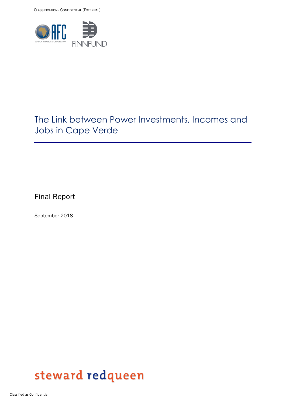

# The Link between Power Investments, Incomes and Jobs in Cape Verde

Final Report

September 2018

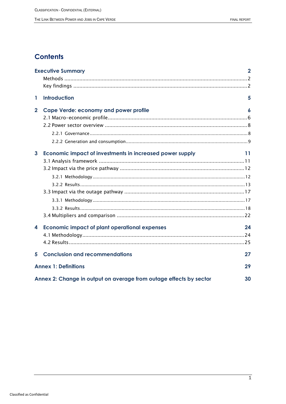# **Contents**

|                                   | <b>Executive Summary</b>                                                 | $\mathbf{2}$ |  |  |
|-----------------------------------|--------------------------------------------------------------------------|--------------|--|--|
|                                   |                                                                          |              |  |  |
|                                   |                                                                          |              |  |  |
| 1                                 | <b>Introduction</b>                                                      | 5            |  |  |
| $\overline{2}$                    | <b>Cape Verde: economy and power profile</b>                             | 6            |  |  |
|                                   |                                                                          |              |  |  |
|                                   |                                                                          |              |  |  |
|                                   |                                                                          |              |  |  |
|                                   |                                                                          |              |  |  |
| 3                                 | Economic impact of investments in increased power supply                 | 11           |  |  |
|                                   |                                                                          |              |  |  |
|                                   |                                                                          |              |  |  |
|                                   |                                                                          |              |  |  |
|                                   |                                                                          |              |  |  |
|                                   |                                                                          |              |  |  |
|                                   |                                                                          |              |  |  |
|                                   |                                                                          |              |  |  |
|                                   |                                                                          |              |  |  |
| 4                                 | <b>Economic impact of plant operational expenses</b>                     | 24           |  |  |
|                                   |                                                                          |              |  |  |
|                                   |                                                                          |              |  |  |
| 5                                 | <b>Conclusion and recommendations</b>                                    | 27           |  |  |
| <b>Annex 1: Definitions</b><br>29 |                                                                          |              |  |  |
|                                   | Annex 2: Change in output on average from outage effects by sector<br>30 |              |  |  |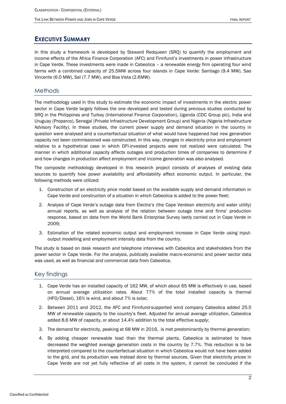## <span id="page-2-0"></span>**EXECUTIVE SUMMARY**

In this study a framework is developed by Steward Redqueen (SRQ) to quantify the employment and income effects of the Africa Finance Corporation (AFC) and Finnfund's investments in power infrastructure in Cape Verde. These investments were made in Cabeolica – a renewable energy firm operating four wind farms with a combined capacity of 25.5MW across four islands in Cape Verde: Santiago (9.4 MW), Sao Vincente (6.0 MW), Sal (7.7 MW), and Boa Vista (2.6MW).

### <span id="page-2-1"></span>**Methods**

The methodology used in this study to estimate the economic impact of investments in the electric power sector in Cape Verde largely follows the one developed and tested during previous studies conducted by SRQ in the Philippines and Turkey (International Finance Corporation), Uganda (CDC Group plc), India and Uruguay (Proparco), Senegal (Private Infrastructure Development Group) and Nigeria (Nigeria Infrastructure Advisory Facility). In these studies, the current power supply and demand situation in the country in question were analysed and a counterfactual situation of what would have happened had new generation capacity not been commissioned was constructed. In this way, changes in electricity price and employment relative to a hypothetical case in which DFI-invested projects were not realized were calculated. The manner in which additional capacity affects outages and production times of companies to determine if and how changes in production affect employment and income generation was also analysed.

The composite methodology developed in this research project consists of analyses of existing data sources to quantify how power availability and affordability affect economic output. In particular, the following methods were utilized:

- 1. Construction of an electricity price model based on the available supply and demand information in Cape Verde and construction of a situation in which Cabeolica is added to the power fleet;
- 2. Analysis of Cape Verde's outage data from Electra's (the Cape Verdean electricity and water utility) annual reports, as well as analysis of the relation between outage time and firms' production response, based on data from the World Bank Enterprise Survey lastly carried out in Cape Verde in 2009;
- 3. Estimation of the related economic output and employment increase in Cape Verde using inputoutput modelling and employment intensity data from the country.

The study is based on desk research and telephone interviews with Cabeolica and stakeholders from the power sector in Cape Verde. For the analysis, publically available macro-economic and power sector data was used, as well as financial and commercial data from Cabeolica.

### <span id="page-2-2"></span>Key findings

- 1. Cape Verde has an installed capacity of 162 MW, of which about 65 MW is effectively in use, based on annual average utilization rates. About 77% of the total installed capacity is thermal (HFO/Diesel), 16% is wind, and about 7% is solar;
- 2. Between 2011 and 2012, the AFC and Finnfund-supported wind company Cabeolica added 25.5 MW of renewable capacity to the country's fleet. Adjusted for annual average utilization, Cabeolica added 8.6 MW of capacity, or about 14.4% addition to the total effective supply;
- 3. The demand for electricity, peaking at 68 MW in 2016, is met predominantly by thermal generation;
- 4. By adding cheaper renewable load than the thermal plants, Cabeolica is estimated to have decreased the weighted average generation costs in the country by 7.7%. This reduction is to be interpreted compared to the counterfactual situation in which Cabeolica would not have been added to the grid, and its production was instead done by thermal sources. Given that electricity prices in Cape Verde are not yet fully reflective of all costs in the system, it cannot be concluded if the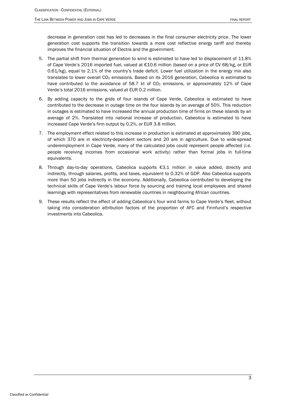decrease in generation cost has led to decreases in the final consumer electricity price. The lower generation cost supports the transition towards a more cost reflective energy tariff and thereby improves the financial situation of Electra and the government.

- 5. The partial shift from thermal generation to wind is estimated to have led to displacement of 11.8% of Cape Verde's 2016 imported fuel, valued at €10.6 million (based on a price of CV 68/kg, or EUR 0.61/kg), equal to 2.1% of the country's trade deficit. Lower fuel utilization in the energy mix also translates to lower overall CO<sub>2</sub> emissions. Based on its 2016 generation, Cabeolica is estimated to have contributed to the avoidance of 58.7 kt of  $CO<sub>2</sub>$  emissions, or approximately 12% of Cape Verde's total 2016 emissions, valued at EUR 0.2 million.
- 6. By adding capacity to the grids of four islands of Cape Verde, Cabeolica is estimated to have contributed to the decrease in outage time on the four islands by an average of 50%. This reduction in outages is estimated to have increased the annual production time of firms on these islands by an average of 2%. Translated into national increase of production, Cabeolica is estimated to have increased Cape Verde's firm output by 0.2%, or EUR 3.8 million.
- 7. The employment effect related to this increase in production is estimated at approximately 390 jobs, of which 370 are in electricity-dependent sectors and 20 are in agriculture. Due to wide-spread underemployment in Cape Verde, many of the calculated jobs could represent people affected (i.e. people receiving incomes from occasional work activity) rather than formal jobs in full-time equivalents.
- 8. Through day-to-day operations, Cabeolica supports €3.1 million in value added, directly and indirectly, through salaries, profits, and taxes, equivalent to 0.32% of GDP. Also Cabeolica supports more than 50 jobs indirectly in the economy. Additionally, Cabeolica contributed to developing the technical skills of Cape Verde's labour force by sourcing and training local employees and shared learnings with representatives from renewable countries in neighbouring African countries.
- 9. These results reflect the effect of adding Cabeolica's four wind farms to Cape Verde's fleet, without taking into consideration attribution factors of the proportion of AFC and Finnfund's respective investments into Cabeolica.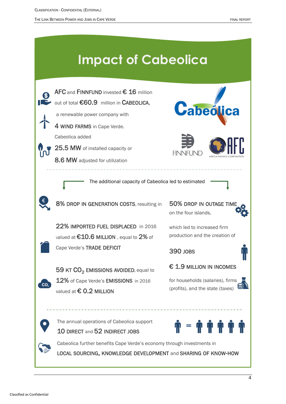THE LINK BETWEEN POWER AND JOBS IN CAPE VERDE FINAL REPORT

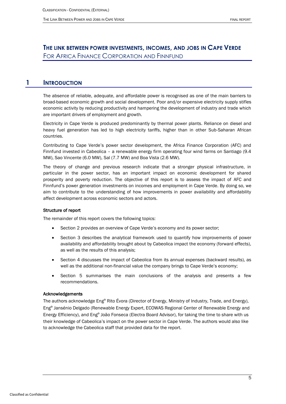## **THE LINK BETWEEN POWER INVESTMENTS, INCOMES, AND JOBS IN CAPE VERDE** FOR AFRICA FINANCE CORPORATION AND FINNFUND

### **1 INTRODUCTION**

<span id="page-5-0"></span>The absence of reliable, adequate, and affordable power is recognised as one of the main barriers to broad-based economic growth and social development. Poor and/or expensive electricity supply stifles economic activity by reducing productivity and hampering the development of industry and trade which are important drivers of employment and growth.

Electricity in Cape Verde is produced predominantly by thermal power plants. Reliance on diesel and heavy fuel generation has led to high electricity tariffs, higher than in other Sub-Saharan African countries.

Contributing to Cape Verde's power sector development, the Africa Finance Corporation (AFC) and Finnfund invested in Cabeolica – a renewable energy firm operating four wind farms on Santiago (9.4 MW), Sao Vincente (6.0 MW), Sal (7.7 MW) and Boa Vista (2.6 MW).

The theory of change and previous research indicate that a stronger physical infrastructure, in particular in the power sector, has an important impact on economic development for shared prosperity and poverty reduction. The objective of this report is to assess the impact of AFC and Finnfund's power generation investments on incomes and employment in Cape Verde. By doing so, we aim to contribute to the understanding of how improvements in power availability and affordability affect development across economic sectors and actors.

#### Structure of report

The remainder of this report covers the following topics:

- Section [2](#page-6-0) provides an overview of Cape Verde's economy and its power sector;
- Section [3](#page-11-0) describes the analytical framework used to quantify how improvements of power availability and affordability brought about by Cabeolica impact the economy (forward effects), as well as the results of this analysis;
- Section [4](#page-24-0) discusses the impact of Cabeolica from its annual expenses (backward results), as well as the additional non-financial value the company brings to Cape Verde's economy;
- Section [5](#page-27-0) summarises the main conclusions of the analysis and presents a few recommendations.

#### Acknowledgements

The authors acknowledge Engº Rito Évora (Director of Energy, Ministry of Industry, Trade, and Energy), Engº Jansénio Delgado (Renewable Energy Expert, ECOWAS Regional Center of Renewable Energy and Energy Efficiency), and Engº João Fonseca (Electra Board Advisor), for taking the time to share with us their knowledge of Cabeolica's impact on the power sector in Cape Verde. The authors would also like to acknowledge the Cabeolica staff that provided data for the report.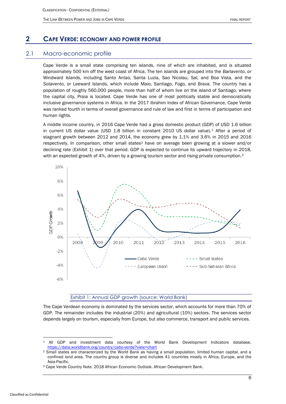## <span id="page-6-0"></span>**2 CAPE VERDE: ECONOMY AND POWER PROFILE**

### 2.1 Macro-economic profile

<span id="page-6-1"></span>Cape Verde is a small state comprising ten islands, nine of which are inhabited, and is situated approximately 500 km off the west coast of Africa. The ten islands are grouped into the *Barlavento*, or Windward Islands, including Santo Antao, Santa Luzia, Sao Nicolau, Sal, and Boa Vista, and the *Sotavento*, or Leeward Islands, which include Maio, Santiago, Fogo, and Brava. The country has a population of roughly 560,000 people, more than half of whom live on the island of Santiago, where the capital city, Praia is located. Cape Verde has one of most politically stable and democratically inclusive governance systems in Africa. In the 2017 Ibrahim Index of African Governance, Cape Verde was ranked fourth in terms of overall governance and rule of law and first in terms of participation and human rights.

A middle income country, in 2016 Cape Verde had a gross domestic product (GDP) of USD 1.6 billion in current US dollar value (USD 1.8 billion in constant 2010 US dollar value).<sup>1</sup> After a period of stagnant growth between 2012 and 2014, the economy grew by 1.1% and 3.6% in 2015 and 2016 respectively. In comparison, other small states<sup>2</sup> have on average been growing at a slower and/or declining rate [\(Exhibit 1\)](#page-6-2) over that period. GDP is expected to continue its upward trajectory in 2018, with an expected growth of 4%, driven by a growing tourism sector and rising private consumption.<sup>3</sup>



#### Exhibit 1: Annual GDP growth (source: World Bank)

<span id="page-6-2"></span>The Cape Verdean economy is dominated by the services sector, which accounts for more than 70% of GDP. The remainder includes the industrial (20%) and agricultural (10%) sectors. The services sector depends largely on tourism, especially from Europe, but also commerce, transport and public services.

<sup>1</sup> All GDP and investment data courtesy of the World Bank Development Indicators database. <https://data.worldbank.org/country/cabo-verde?view=chart>

<sup>2</sup> Small states are characterized by the World Bank as having a small population, limited human capital, and a confined land area. The country group is diverse and includes 41 countries mostly in Africa, Europe, and the Asia-Pacific.

<sup>3</sup> Cape Verde Country Note. 2018 African Economic Outlook. African Development Bank.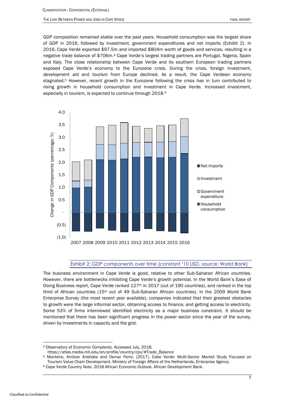GDP composition remained stable over the past years. Household consumption was the largest share of GDP in 2016, followed by investment, government expenditures and net imports [\(Exhibit 2\)](#page-7-0). In 2016, Cape Verde exported \$97.5m and imported \$804m worth of goods and services, resulting in a negative trade balance of \$706m.<sup>4</sup> Cape Verde's largest trading partners are Portugal, Nigeria, Spain and Italy. The close relationship between Cape Verde and its southern European trading partners exposed Cape Verde's economy to the Eurozone crisis. During the crisis, foreign investment, development aid and tourism from Europe declined. As a result, the Cape Verdean economy stagnated.<sup>5</sup> However, recent growth in the Eurozone following the crisis has in turn contributed to rising growth in household consumption and investment in Cape Verde. Increased investment, especially in tourism, is expected to continue through 2018.<sup>6</sup>



#### Exhibit 2: GDP components over time (constant '10 USD, source: World Bank)

<span id="page-7-0"></span>The business environment in Cape Verde is good, relative to other Sub-Saharan African countries. However, there are bottlenecks inhibiting Cape Verde's growth potential. In the World Bank's Ease of Doing Business report, Cape Verde ranked 127<sup>th</sup> in 2017 (out of 190 countries), and ranked in the top third of African countries (15th out of 49 Sub-Saharan African countries). In the 2009 World Bank Enterprise Survey (the most recent year available), companies indicated that their greatest obstacles to growth were the large informal sector, obtaining access to finance, and getting access to electricity. Some 53% of firms interviewed identified electricity as a major business constraint. It should be mentioned that there has been significant progress in the power sector since the year of the survey, driven by investments in capacity and the grid.

<sup>4</sup> Observatory of Economic Complexity. Accessed July, 2018.

[https://atlas.media.mit.edu/en/profile/country/cpv/#Trade\\_Balance](https://atlas.media.mit.edu/en/profile/country/cpv/#Trade_Balance)

<sup>5</sup> Monteiro, Amilcar Aristides and Osmar Ferro. (2017). Cabo Verde: Multi-Sector Market Study Focused on Tourism Value Chain Development. Ministry of Foreign Affairs of the Netherlands, Enterprise Agency.

<sup>6</sup> Cape Verde Country Note. 2018 African Economic Outlook. African Development Bank.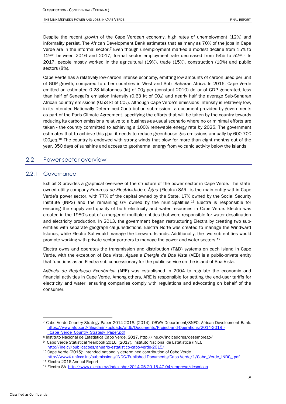Despite the recent growth of the Cape Verdean economy, high rates of unemployment (12%) and informality persist. The African Development Bank estimates that as many as 70% of the jobs in Cape Verde are in the informal sector.<sup>7</sup> Even though unemployment marked a modest decline from 15% to 12%<sup>8</sup> between 2016 and 2017, formal sector employment rate decreased from 54% to 52%.<sup>9</sup> In 2017, people mostly worked in the agricultural (19%), trade (15%), construction (10%) and public sectors (8%).

Cape Verde has a relatively low-carbon intense economy, emitting low amounts of carbon used per unit of GDP growth, compared to other countries in West and Sub- Saharan Africa. In 2016, Cape Verde emitted an estimated 0.28 kilotonnes (kt) of CO<sub>2</sub> per (constant 2010) dollar of GDP generated, less than half of Senegal's emission intensity (0.63 kt of  $CO<sub>2</sub>$ ) and nearly half the average Sub-Saharan African country emissions (0.53 kt of C02). Although Cape Verde's emissions intensity is relatively low, in its Intended Nationally Determined Contribution submission - a document provided by governments as part of the Paris Climate Agreement, specifying the efforts that will be taken by the country towards reducing its carbon emissions relative to a business-as-usual scenario where no or minimal efforts are taken - the country committed to achieving a 100% renewable energy rate by 2025. The government estimates that to achieve this goal it needs to reduce greenhouse gas emissions annually by 600-700 tCO<sub>2</sub>eq.<sup>10</sup> The country is endowed with strong winds that blow for more than eight months out of the year, 350 days of sunshine and access to geothermal energy from volcanic activity below the islands.

### <span id="page-8-0"></span>2.2 Power sector overview

### 2.2.1 Governance

<span id="page-8-1"></span>[Exhibit 3](#page-9-1) provides a graphical overview of the structure of the power sector in Cape Verde. The stateowned utility company *Empresa de Electricidade e Água* (Electra) SARL is the main entity within Cape Verde's power sector, with 77% of the capital owned by the State, 17% owned by the Social Security Institute (INPS) and the remaining 6% owned by the municipalities.<sup>11</sup> Electra is responsible for ensuring the supply and quality of both electricity and water resources in Cape Verde. Electra was created in the 1980's out of a merger of multiple entities that were responsible for water desalination and electricity production. In 2013, the government began restructuring Electra by creating two subentities with separate geographical jurisdictions. Electra Norte was created to manage the Windward Islands, while Electra Sul would manage the Leeward Islands. Additionally, the two sub-entities would promote working with private sector partners to manage the power and water sectors.<sup>12</sup>

Electra owns and operates the transmission and distribution (T&D) systems on each island in Cape Verde, with the exception of Boa Vista. *Águas e Energia de Boa Vista* (AEB) is a public-private entity that functions as an Electra sub-concessionary for the public service on the island of Boa Vista.

*Agência de Regulaçao Económica* (ARE) was established in 2004 to regulate the economic and financial activities in Cape Verde. Among others, ARE is responsible for setting the end-user tariffs for electricity and water, ensuring companies comply with regulations and advocating on behalf of the consumer.

<http://ine.cv/publicacoes/anuario-estatistico-cabo-verde-2015/>

<sup>7</sup> Cabo Verde Country Strategy Paper 2014-2018. (2014). ORWA Department/SNFO. African Development Bank. [https://www.afdb.org/fileadmin/uploads/afdb/Documents/Project-and-Operations/2014-2018\\_-](https://www.afdb.org/fileadmin/uploads/afdb/Documents/Project-and-Operations/2014-2018_-_Cape_Verde_Country_Strategy_Paper.pdf) Cape\_Verde\_Country\_Strategy\_Paper.pdf

<sup>8</sup> Instituto Nacional de Estatistica Cabo Verde. 2017. http://ine.cv/indicadores/desemprego/

<sup>9</sup> Cabo Verde Statistical Yearbook 2016. (2017). Instituto Nacional de Estatistica (INE).

<sup>10</sup> Cape Verde (2015): Intended nationally determined contribution of Cabo Verde. [http://www4.unfccc.int/submissions/INDC/Published Documents/Cabo Verde/1/Cabo\\_Verde\\_INDC\\_.pdf](http://www4.unfccc.int/submissions/INDC/Published%20Documents/Cabo%20Verde/1/Cabo_Verde_INDC_.pdf) <sup>11</sup> Electra 2016 Annual Report.

<sup>12</sup> Electra SA.<http://www.electra.cv/index.php/2014-05-20-15-47-04/empresa/descricao>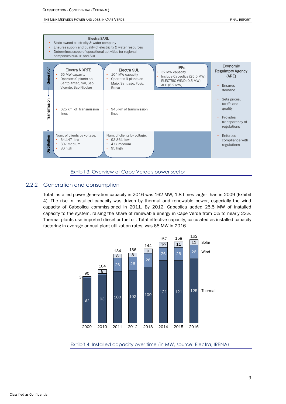

Exhibit 3: Overview of Cape Verde's power sector

### <span id="page-9-1"></span>2.2.2 Generation and consumption

<span id="page-9-0"></span>Total installed power generation capacity in 2016 was 162 MW, 1.8 times larger than in 2009 [\(Exhibit](#page-9-2)  [4\)](#page-9-2). The rise in installed capacity was driven by thermal and renewable power, especially the wind capacity of Cabeolica commissioned in 2011. By 2012, Cabeolica added 25.5 MW of installed capacity to the system, raising the share of renewable energy in Cape Verde from 0% to nearly 23%. Thermal plants use imported diesel or fuel oil. Total effective capacity, calculated as installed capacity factoring in average annual plant utilization rates, was 68 MW in 2016.



<span id="page-9-2"></span>Exhibit 4: Installed capacity over time (in MW, source: Electra, IRENA)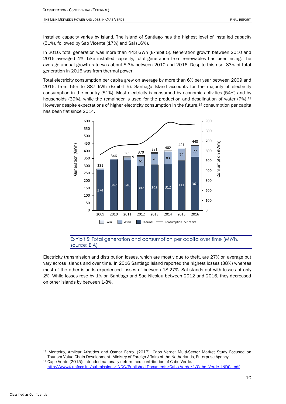Installed capacity varies by island. The island of Santiago has the highest level of installed capacity (51%), followed by Sao Vicente (17%) and Sal (16%).

In 2016, total generation was more than 443 GWh [\(Exhibit 5\)](#page-10-0). Generation growth between 2010 and averaged 4%. Like installed capacity, total generation from renewables has been rising. The average annual growth rate was about 5.3% between 2010 and 2016. Despite this rise, 83% of total generation in 2016 was from thermal power.

Total electricity consumption per capita grew on average by more than 6% per year between 2009 and 2016, from 565 to 887 kWh [\(Exhibit 5\)](#page-10-0). Santiago Island accounts for the majority of electricity consumption in the country (51%). Most electricity is consumed by economic activities (54%) and by households (39%), while the remainder is used for the production and desalination of water (7%).<sup>13</sup> However despite expectations of higher electricity consumption in the future,<sup>14</sup> consumption per capita has been flat since 2014.



Exhibit 5: Total generation and consumption per capita over time (MWh, source: EIA)

<span id="page-10-0"></span>Electricity transmission and distribution losses, which are mostly due to theft, are 27% on average but vary across islands and over time. In 2016 Santiago Island reported the highest losses (38%) whereas most of the other islands experienced losses of between 18-27%. Sal stands out with losses of only 2%. While losses rose by 1% on Santiago and Sao Nicolau between 2012 and 2016, they decreased on other islands by between 1-8%.

 Monteiro, Amilcar Aristides and Osmar Ferro. (2017). Cabo Verde: Multi-Sector Market Study Focused on Tourism Value Chain Development. Ministry of Foreign Affairs of the Netherlands, Enterprise Agency.

 Cape Verde (2015): Intended nationally determined contribution of Cabo Verde. [http://www4.unfccc.int/submissions/INDC/Published Documents/Cabo Verde/1/Cabo\\_Verde\\_INDC\\_.pdf](http://www4.unfccc.int/submissions/INDC/Published%20Documents/Cabo%20Verde/1/Cabo_Verde_INDC_.pdf)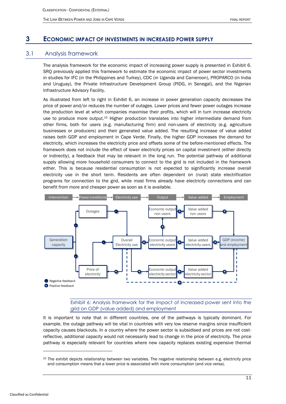### <span id="page-11-0"></span>**3 ECONOMIC IMPACT OF INVESTMENTS IN INCREASED POWER SUPPLY**

### 3.1 Analysis framework

<span id="page-11-1"></span>The analysis framework for the economic impact of increasing power supply is presented in [Exhibit 6.](#page-11-2) SRQ previously applied this framework to estimate the economic impact of power sector investments in studies for IFC (in the Philippines and Turkey), CDC (in Uganda and Cameroon), PROPARCO (in India and Uruguay), the Private Infrastructure Development Group (PIDG, in Senegal), and the Nigerian Infrastructure Advisory Facility.

As illustrated from left to right in [Exhibit 6,](#page-11-2) an increase in power generation capacity decreases the price of power and/or reduces the number of outages. Lower prices and fewer power outages increase the production level at which companies maximise their profits, which will in turn increase electricity use to produce more output.<sup>15</sup> Higher production translates into higher intermediate demand from other firms, both for users (e.g. manufacturing firm) and non-users of electricity (e.g. agriculture businesses or producers) and their generated value added. The resulting increase of value added raises both GDP and employment in Cape Verde. Finally, the higher GDP increases the demand for electricity, which increases the electricity price and offsets some of the before-mentioned effects. The framework does not include the effect of lower electricity prices on capital investment (either directly or indirectly), a feedback that may be relevant in the long run. The potential pathway of additional supply allowing more household consumers to connect to the grid is not included in the framework either. This is because residential consumption is not expected to significantly increase overall electricity use in the short term. Residents are often dependent on (rural) state electrification programs for connection to the grid, while most firms already have electricity connections and can benefit from more and cheaper power as soon as it is available.



Exhibit 6: Analysis framework for the impact of increased power sent into the grid on GDP (value added) and employment

<span id="page-11-2"></span>It is important to note that in different countries, one of the pathways is typically dominant. For example, the outage pathway will be vital in countries with very low reserve margins since insufficient capacity causes blackouts. In a country where the power sector is subsidised and prices are not costreflective, additional capacity would not necessarily lead to change in the price of electricity. The price pathway is especially relevant for countries where new capacity replaces existing expensive thermal

<sup>&</sup>lt;sup>15</sup> The exhibit depicts relationship between two variables. The negative relationship between e.g. electricity price and consumption means that a lower price is associated with more consumption (and vice versa).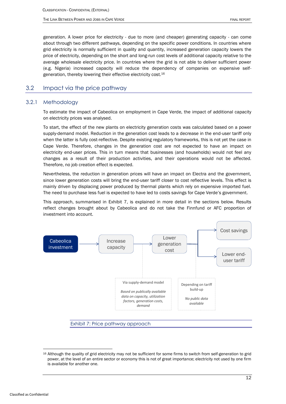generation. A lower price for electricity - due to more (and cheaper) generating capacity - can come about through two different pathways, depending on the specific power conditions. In countries where grid electricity is normally sufficient in quality and quantity, increased generation capacity lowers the price of electricity, depending on the short and long-run cost levels of additional capacity relative to the average wholesale electricity price. In countries where the grid is not able to deliver sufficient power (e.g. Nigeria) increased capacity will reduce the dependency of companies on expensive selfgeneration, thereby lowering their effective electricity cost. 16

### <span id="page-12-0"></span>3.2 Impact via the price pathway

### 3.2.1 Methodology

<span id="page-12-1"></span>To estimate the impact of Cabeolica on employment in Cape Verde, the impact of additional capacity on electricity prices was analysed.

To start, the effect of the new plants on electricity generation costs was calculated based on a power supply-demand model. Reduction in the generation cost leads to a decrease in the end-user tariff only when the latter is fully cost-reflective. Despite existing regulatory frameworks, this is not yet the case in Cape Verde. Therefore, changes in the generation cost are not expected to have an impact on electricity end-user prices. This in turn means that businesses (and households) would not feel any changes as a result of their production activities, and their operations would not be affected. Therefore, no job creation effect is expected.

Nevertheless, the reduction in generation prices will have an impact on Electra and the government, since lower generation costs will bring the end-user tariff closer to cost reflective levels. This effect is mainly driven by displacing power produced by thermal plants which rely on expensive imported fuel. The need to purchase less fuel is expected to have led to costs savings for Cape Verde's government.

This approach, summarised in [Exhibit 7,](#page-12-2) is explained in more detail in the sections below. Results reflect changes brought about by Cabeolica and do not take the Finnfund or AFC proportion of investment into account.



<span id="page-12-2"></span>Exhibit 7: Price pathway approach

<sup>-</sup>16 Although the quality of grid electricity may not be sufficient for some firms to switch from self-generation to grid power, at the level of an entire sector or economy this is not of great importance; electricity not used by one firm is available for another one.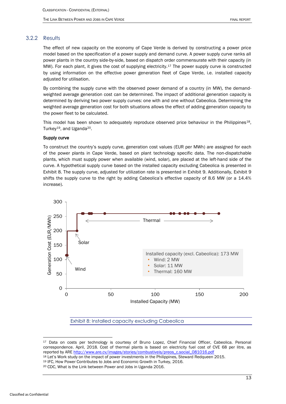### 3.2.2 Results

<span id="page-13-0"></span>The effect of new capacity on the economy of Cape Verde is derived by constructing a power price model based on the specification of a power supply and demand curve. A power supply curve ranks all power plants in the country side-by-side, based on dispatch order commensurate with their capacity (in MW). For each plant, it gives the cost of supplying electricity.<sup>17</sup> The power supply curve is constructed by using information on the effective power generation fleet of Cape Verde, i.e. installed capacity adjusted for utilisation.

By combining the supply curve with the observed power demand of a country (in MW), the demandweighted average generation cost can be determined. The impact of additional generation capacity is determined by deriving two power supply curves: one with and one without Cabeolica. Determining the weighted average generation cost for both situations allows the effect of adding generation capacity to the power fleet to be calculated.

This model has been shown to adequately reproduce observed price behaviour in the Philippines<sup>18</sup>, Turkey<sup>19</sup>, and Uganda<sup>20</sup>.

#### Supply curve

To construct the country's supply curve, generation cost values (EUR per MWh) are assigned for each of the power plants in Cape Verde, based on plant technology specific data. The non-dispatchable plants, which must supply power when available (wind, solar), are placed at the left-hand side of the curve. A hypothetical supply curve based on the installed capacity excluding Cabeolica is presented in [Exhibit 8.](#page-13-1) The supply curve, adjusted for utilization rate is presented in [Exhibit 9.](#page-14-0) Additionally, [Exhibit 9](#page-14-0) shifts the supply curve to the right by adding Cabeolica's effective capacity of 8.6 MW (or a 14.4% increase).



Exhibit 8: Installed capacity excluding Cabeolica

<span id="page-13-1"></span><sup>&</sup>lt;sup>17</sup> Data on costs per technology is courtesy of Bruno Lopez, Chief Financial Officer, Cabeolica. Personal correspondence. April, 2018. Cost of thermal plants is based on electricity fuel cost of CVE 68 per litre, as reported by ARE [http://www.are.cv/images/stories/combustiveis/preos\\_c.social\\_081016.pdf](http://www.are.cv/images/stories/combustiveis/preos_c.social_081016.pdf)

<sup>18</sup> Let's Work study on the impact of power investments in the Philippines, Steward Redqueen 2015.

<sup>&</sup>lt;sup>19</sup> IFC, How Power Contributes to Jobs and Economic Growth in Turkey, 2016.

<sup>20</sup> CDC, What is the Link between Power and Jobs in Uganda 2016.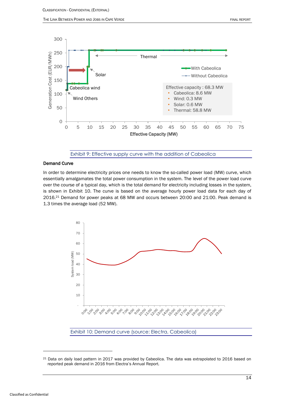

Exhibit 9: Effective supply curve with the addition of Cabeolica

#### <span id="page-14-0"></span>Demand Curve

In order to determine electricity prices one needs to know the so-called power load (MW) curve, which essentially amalgamates the total power consumption in the system. The level of the power load curve over the course of a typical day, which is the total demand for electricity including losses in the system, is shown in [Exhibit 10.](#page-14-1) The curve is based on the average hourly power load data for each day of 2016. <sup>21</sup> Demand for power peaks at 68 MW and occurs between 20:00 and 21:00. Peak demand is 1.3 times the average load (52 MW).



<span id="page-14-1"></span>Exhibit 10: Demand curve (source: Electra, Cabeolica)

<sup>21</sup> Data on daily load pattern in 2017 was provided by Cabeolica. The data was extrapolated to 2016 based on reported peak demand in 2016 from Electra's Annual Report.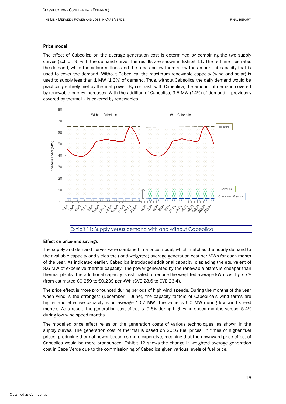#### Price model

The effect of Cabeolica on the average generation cost is determined by combining the two supply curves [\(Exhibit 9\)](#page-14-0) with the demand curve. The results are shown in [Exhibit 11.](#page-15-0) The red line illustrates the demand, while the coloured lines and the areas below them show the amount of capacity that is used to cover the demand. Without Cabeolica, the maximum renewable capacity (wind and solar) is used to supply less than 1 MW (1.3%) of demand. Thus, without Cabeolica the daily demand would be practically entirely met by thermal power. By contrast, with Cabeolica, the amount of demand covered by renewable energy increases. With the addition of Cabeolica, 9.5 MW (14%) of demand – previously covered by thermal – is covered by renewables.



Exhibit 11: Supply versus demand with and without Cabeolica

#### <span id="page-15-0"></span>Effect on price and savings

The supply and demand curves were combined in a price model, which matches the hourly demand to the available capacity and yields the (load-weighted) average generation cost per MWh for each month of the year. As indicated earlier, Cabeolica introduced additional capacity, displacing the equivalent of 8.6 MW of expensive thermal capacity. The power generated by the renewable plants is cheaper than thermal plants. The additional capacity is estimated to reduce the weighted average kWh cost by 7.7% (from estimated €0.259 to €0.239 per kWh (CVE 28.6 to CVE 26.4).

The price effect is more pronounced during periods of high wind speeds. During the months of the year when wind is the strongest (December – June), the capacity factors of Cabeolica's wind farms are higher and effective capacity is on average 10.7 MW. The value is 6.0 MW during low wind speed months. As a result, the generation cost effect is -9.6% during high wind speed months versus -5.4% during low wind speed months.

The modelled price effect relies on the generation costs of various technologies, as shown in the supply curves. The generation cost of thermal is based on 2016 fuel prices. In times of higher fuel prices, producing thermal power becomes more expensive, meaning that the downward price effect of Cabeolica would be more pronounced. [Exhibit 12](#page-16-0) shows the change in weighted average generation cost in Cape Verde due to the commissioning of Cabeolica given various levels of fuel price.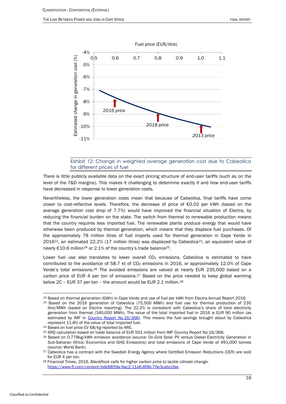

### Exhibit 12: Change in weighted average generation cost due to Cabeolica for different prices of fuel

<span id="page-16-0"></span>There is little publicly available data on the exact pricing structure of end-user tariffs (such as on the level of the T&D margins). This makes it challenging to determine exactly if and how end-user tariffs have decreased in response to lower generation costs.

Nevertheless, the lower generation costs mean that because of Cabeolica, final tariffs have come closer to cost-reflective levels. Therefore, the decrease of price of €0.02 per kWh (based on the average generation cost drop of 7.7%) would have improved the financial situation of Electra, by reducing the financial burden on the state. The switch from thermal to renewable production means that the country requires less imported fuel. The renewable plants produce energy that would have otherwise been produced by thermal generation, which means that they displace fuel purchases. Of the approximately 78 million litres of fuel imports used for thermal generation in Cape Verde in 2016<sup>22</sup>, an estimated 22.2% (17 million litres) was displaced by Cabeolica<sup>23</sup>, an equivalent value of nearly €10.6 million<sup>24</sup> or 2.1% of the country's trade balance<sup>25</sup>.

Lower fuel use also translates to lower overall  $CO<sub>2</sub>$  emissions. Cabeolica is estimated to have contributed to the avoidance of 58.7 kt of  $CO<sub>2</sub>$  emissions in 2016, or approximately 12.0% of Cape Verde's total emissions.<sup>26</sup> The avoided emissions are valued at nearly EUR 235,000 based on a carbon price of EUR 4 per ton of emissions.<sup>27</sup> Based on the price needed to keep global warming below 2C – EUR 37 per ton – the amount would be EUR 2.1 million.<sup>28</sup>

<sup>&</sup>lt;sup>22</sup> Based on thermal generation (GWh) in Cape Verde and use of fuel per kWh from Electra Annual Report 2016

<sup>23</sup> Based on the 2016 generation of Cabeolica (75,500 MWh) and fuel use for thermal production of 230 litre/MWh (based on Electra reporting). The 22.2% is consistent with Cabeolica's share of total electricity generation from thermal (340,000 MWh). The value of the total imported fuel in 2016 is EUR 90 million (as estimated by IMF in [Country Report No.16/366\)](https://www.imf.org/external/pubs/ft/scr/2016/cr16366.pdf). This means the fuel savings brought about by Cabeolica represent 11.8% of the value of total imported fuel.

<sup>24</sup> Based on fuel price CV 68/kg reported by ARE.

<sup>25</sup> SRQ calculation based on trade balance of EUR 501 million from IMF Country Report No.16/366.

<sup>&</sup>lt;sup>26</sup> Based on 0.778kg/kWh emission avoidance (source: On-Grid Solar PV versus Diesel Electricity Generation in Sub-Saharan Africa: Economics and GHG Emissions) and total emissions of Cape Verde of 491,000 tonnes (source: World Bank)

<sup>&</sup>lt;sup>27</sup> Cabeolica has a contract with the Swedish Energy Agency where Certified Emission Reductions (CER) are sold for EUR 4 per ton.

<sup>28</sup> Financial Times, 2016. *BlackRock calls for higher carbon price to tackle climate change.*  <https://www.ft.com/content/bde6859a-9ac2-11e6-8f9b-70e3cabccfae>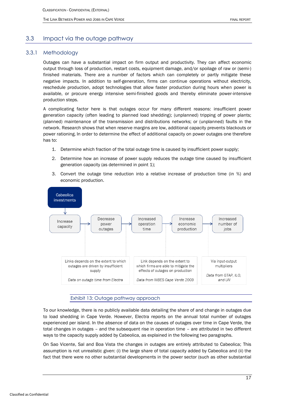### <span id="page-17-0"></span>3.3 Impact via the outage pathway

### 3.3.1 Methodology

<span id="page-17-1"></span>Outages can have a substantial impact on firm output and productivity. They can affect economic output through loss of production, restart costs, equipment damage, and/or spoilage of raw or (semi-) finished materials. There are a number of factors which can completely or partly mitigate these negative impacts. In addition to self-generation, firms can continue operations without electricity, reschedule production, adopt technologies that allow faster production during hours when power is available, or procure energy intensive semi-finished goods and thereby eliminate power-intensive production steps.

A complicating factor here is that outages occur for many different reasons: insufficient power generation capacity (often leading to planned load shedding); (unplanned) tripping of power plants; (planned) maintenance of the transmission and distributions networks; or (unplanned) faults in the network. Research shows that when reserve margins are low, additional capacity prevents blackouts or power rationing. In order to determine the effect of additional capacity on power outages one therefore has to:

- 1. Determine which fraction of the total outage time is caused by insufficient power supply;
- 2. Determine how an increase of power supply reduces the outage time caused by insufficient generation capacity (as determined in point 1);
- 3. Convert the outage time reduction into a relative increase of production time (in %) and economic production.



#### Exhibit 13: Outage pathway approach

To our knowledge, there is no publicly available data detailing the share of and change in outages due to load shedding in Cape Verde. However, Electra reports on the annual total number of outages experienced per island. In the absence of data on the causes of outages over time in Cape Verde, the total changes in outages – and the subsequent rise in operation time – are attributed in two different ways to the capacity supply added by Cabeolica, as explained in the following two paragraphs.

On Sao Vicente, Sal and Boa Vista the changes in outages are entirely attributed to Cabeolica; This assumption is not unrealistic given: (i) the large share of total capacity added by Cabeolica and (ii) the fact that there were no other substantial developments in the power sector (such as other substantial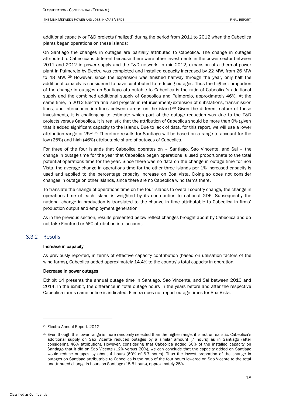additional capacity or T&D projects finalized) during the period from 2011 to 2012 when the Cabeolica plants began operations on these islands;

<span id="page-18-1"></span>On Santiago the changes in outages are partially attributed to Cabeolica. The change in outages attributed to Cabeolica is different because there were other investments in the power sector between 2011 and 2012 in power supply and the T&D network. In mid-2012, expansion of a thermal power plant in Palmerejo by Electra was completed and installed capacity increased by 22 MW, from 26 MW to 48 MW. <sup>29</sup> However, since the expansion was finished halfway through the year, only half the additional capacity is considered to have contributed to reducing outages. Thus the highest proportion of the change in outages on Santiago attributable to Cabeolica is the ratio of Cabeolica's additional supply and the combined additional supply of Cabeolica and Palmerejo, approximately 46%. At the same time, in 2012 Electra finalised projects in refurbishment/extension of substations, transmission lines, and interconnection lines between areas on the island.<sup>[29](#page-18-1)</sup> Given the different nature of these investments, it is challenging to estimate which part of the outage reduction was due to the T&D projects versus Cabeolica. It is realistic that the attribution of Cabeolica should be more than 0% (given that it added significant capacity to the island). Due to lack of data, for this report, we will use a lower attribution range of 25%.<sup>30</sup> Therefore results for Santiago will be based on a range to account for the low (25%) and high (46%) attributable share of outages of Cabeolica.

For three of the four islands that Cabeolica operates on – Santiago, Sao Vincente, and Sal – the change in outage time for the year that Cabeolica began operations is used proportionate to the total potential operations time for the year. Since there was no data on the change in outage time for Boa Vista, the average change in operations time for the other three islands per 1% increased capacity is used and applied to the percentage capacity increase on Boa Vista. Doing so does not consider changes in outage on other islands, since there are no Cabeolica wind farms there.

To translate the change of operations time on the four islands to overall country change, the change in operations time of each island is weighted by its contribution to national GDP. Subsequently the national change in production is translated to the change in time attributable to Cabeolica in firms' production output and employment generation.

As in the previous section, results presented below reflect changes brought about by Cabeolica and do not take Finnfund or AFC attribution into account.

### 3.3.2 Results

-

#### <span id="page-18-0"></span>Increase in capacity

As previously reported, in terms of effective capacity contribution (based on utilisation factors of the wind farms), Cabeolica added approximately 14.4% to the country's total capacity in operation.

#### Decrease in power outages

[Exhibit 14](#page-19-0) presents the annual outage time in Santiago, Sao Vincente, and Sal between 2010 and 2014. In the exhibit, the difference in total outage hours in the years before and after the respective Cabeolica farms came online is indicated. Electra does not report outage times for Boa Vista.

<sup>29</sup> Electra Annual Report. 2012.

<sup>&</sup>lt;sup>30</sup> Even though this lower range is more randomly selected than the higher range, it is not unrealistic. Cabeolica's additional supply on Sao Vicente reduced outages by a similar amount (7 hours) as in Santiago (after considering 46% attribution). However, considering that Cabeolica added 60% of the installed capacity on Santiago that it did on Sao Vicente (12% versus 20%), we can conclude that the capacity added on Santiago would reduce outages by about 4 hours (60% of 6.7 hours). Thus the lowest proportion of the change in outages on Santiago attributable to Cabeolica is the ratio of the four hours lowered on Sao Vicente to the total unattributed change in hours on Santiago (15.5 hours), approximately 25%.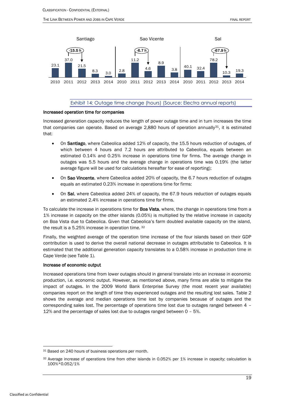



#### Exhibit 14: Outage time change (hours) (Source: Electra annual reports)

#### <span id="page-19-0"></span>Increased operation time for companies

Increased generation capacity reduces the length of power outage time and in turn increases the time that companies can operate. Based on average 2,880 hours of operation annually $31$ , it is estimated that:

- On Santiago, where Cabeolica added 12% of capacity, the 15.5 hours reduction of outages, of which between 4 hours and 7.2 hours are attributed to Cabeolica, equals between an estimated 0.14% and 0.25% increase in operations time for firms. The average change in outages was 5.5 hours and the average change in operations time was 0.19% (the latter average figure will be used for calculations hereafter for ease of reporting);
- On Sao Vincente, where Cabeolica added 20% of capacity, the 6.7 hours reduction of outages equals an estimated 0.23% increase in operations time for firms:
- On Sal, where Cabeolica added 24% of capacity, the 67.9 hours reduction of outages equals an estimated 2.4% increase in operations time for firms.

To calculate the increase in operations time for Boa Vista, where, the change in operations time from a 1% increase in capacity on the other islands (0.05%) is multiplied by the relative increase in capacity on Boa Vista due to Cabeolica. Given that Cabeolica's farm doubled available capacity on the island, the result is a 5.25% increase in operation time. <sup>32</sup>

Finally, the weighted average of the operation time increase of the four islands based on their GDP contribution is used to derive the overall national decrease in outages attributable to Cabeolica. It is estimated that the additional generation capacity translates to a 0.58% increase in production time in Cape Verde (se[e Table 1\)](#page-20-0).

#### Increase of economic output

Increased operations time from lower outages should in general translate into an increase in economic production, i.e. economic output. However, as mentioned above, many firms are able to mitigate the impact of outages. In the 2009 World Bank Enterprise Survey (the most recent year available) companies report on the length of time they experienced outages and the resulting lost sales. [Table 2](#page-20-1) shows the average and median operations time lost by companies because of outages and the corresponding sales lost. The percentage of operations time lost due to outages ranged between 4 – 12% and the percentage of sales lost due to outages ranged between 0 – 5%.

<sup>31</sup> Based on 240 hours of business operations per month.

<sup>32</sup> Average increase of operations time from other islands in 0.052% per 1% increase in capacity; calculation is 100%\*0.052/1%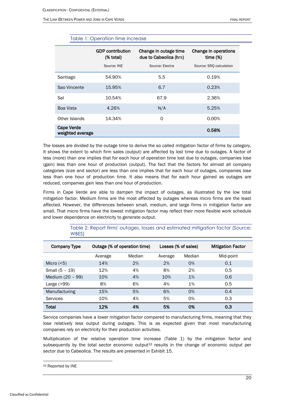<span id="page-20-0"></span>

|                                       | <b>GDP</b> contribution<br>(% total)<br>Source: INE | Change in outage time<br>due to Cabeolica (hrs)<br>Source: Electra | Change in operations<br>time $(\%)$<br>Source: SRO calculation |  |
|---------------------------------------|-----------------------------------------------------|--------------------------------------------------------------------|----------------------------------------------------------------|--|
| Santiago                              | 54.90%                                              | 5.5                                                                | 0.19%                                                          |  |
| Sao Vincente                          | 15.95%                                              | 6.7                                                                | 0.23%                                                          |  |
| Sal                                   | 10.54%                                              | 67.9                                                               | 2.36%                                                          |  |
| <b>Boa Vista</b>                      | 4.26%                                               | N/A                                                                | 5.25%                                                          |  |
| Other Islands                         | 14.34%                                              | 0                                                                  | 0.00%                                                          |  |
| <b>Cape Verde</b><br>weighted average |                                                     |                                                                    | 0.58%                                                          |  |

### Table 1: Operation time increase

The losses are divided by the outage time to derive the so called mitigation factor of firms by category. It shows the extent to which firm sales (output) are affected by lost time due to outages. A factor of less (more) than one implies that for each hour of operation time lost due to outages, companies lose (gain) less than one hour of production (output). The fact that the factors for almost all company categories (size and sector) are less than one implies that for each hour of outages, companies lose less than one hour of production time. It also means that for each hour gained as outages are reduced, companies gain less than one hour of production.

Firms in Cape Verde are able to dampen the impact of outages, as illustrated by the low total mitigation factor. Medium firms are the most affected by outages whereas micro firms are the least affected. However, the differences between small, medium, and large firms in mitigation factor are small. That micro firms have the lowest mitigation factor may reflect their more flexible work schedule and lower dependence on electricity to generate output.

<span id="page-20-1"></span>

| <b>Company Type</b> | Outage (% of operation time) |        | Losses (% of sales) |        | <b>Mitigation Factor</b> |
|---------------------|------------------------------|--------|---------------------|--------|--------------------------|
|                     | Average                      | Median | Average             | Median | Mid-point                |
| Micro $(5)$         | 14%                          | 2%     | 2%                  | O%     | 0.1                      |
| Small (5 - 19)      | 12%                          | 4%     | 8%                  | 2%     | 0.5                      |
| Medium (20 - 99)    | 10%                          | 4%     | 10%                 | 1%     | 0.6                      |
| Large $(>99)$       | 8%                           | 6%     | 4%                  | 1%     | 0.5                      |
| Manufacturing       | 15%                          | 5%     | 6%                  | O%     | 0.4                      |
| Services            | 10%                          | 4%     | 5%                  | 0%     | 0.3                      |
| <b>Total</b>        | 12%                          | 4%     | 5%                  | 0%     | 0.3                      |

Table 2: Report firms' outages, losses and estimated mitigation factor (Source: WBES)

Service companies have a lower mitigation factor compared to manufacturing firms, meaning that they lose relatively less output during outages. This is as expected given that most manufacturing companies rely on electricity for their production activities.

Multiplication of the relative operation time increase [\(Table 1\)](#page-20-0) by the mitigation factor and subsequently by the total sector economic output $33$  results in the change of economic output per sector due to Cabeolica. The results are presented in [Exhibit 15.](#page-21-0)

<sup>33</sup> Reported by INE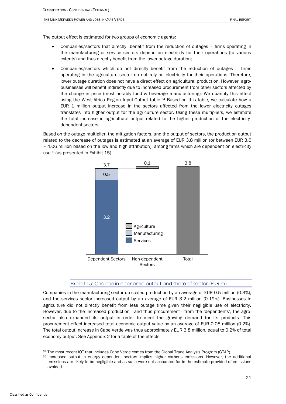The output effect is estimated for two groups of economic agents:

- Companies/sectors that directly benefit from the reduction of outages firms operating in the manufacturing or service sectors depend on electricity for their operations (to various extents) and thus directly benefit from the lower outage duration;
- Companies/sectors which do not directly benefit from the reduction of outages firms operating in the agriculture sector do not rely on electricity for their operations. Therefore, lower outage duration does not have a direct effect on agricultural production. However, agrobusinesses will benefit indirectly due to increased procurement from other sectors affected by the change in price (most notably food & beverage manufacturing). We quantify this effect using the West Africa Region Input-Output table.<sup>34</sup> Based on this table, we calculate how a EUR 1 million output increase in the sectors affected from the lower electricity outages translates into higher output for the agriculture sector. Using these multipliers, we estimate the total increase in agricultural output related to the higher production of the electricitydependent sectors.

Based on the outage multiplier, the mitigation factors, and the output of sectors, the production output related to the decrease of outages is estimated at an average of EUR 3.8 million (or between EUR 3.6 – 4.06 million based on the low and high attribution), among firms which are dependent on electricity use<sup>35</sup> (as presented in [Exhibit 15\)](#page-21-0).



#### Exhibit 15: Change in economic output and share of sector (EUR m)

<span id="page-21-0"></span>Companies in the manufacturing sector up-scaled production by an average of EUR 0.5 million (0.3%), and the services sector increased output by an average of EUR 3.2 million (0.19%). Businesses in agriculture did not directly benefit from less outage time given their negligible use of electricity. However, due to the increased production –and thus procurement– from the 'dependents', the agrosector also expanded its output in order to meet the growing demand for its products. This procurement effect increased total economic output value by an average of EUR 0.08 million (0.2%). The total output increase in Cape Verde was thus approximately EUR 3.8 million, equal to 0.2% of total economy output. See Appendix 2 for a table of the effects.

<sup>34</sup> The most recent IOT that includes Cape Verde comes from the Global Trade Analysis Program (GTAP).

<sup>35</sup> Increased output in energy dependent sectors implies higher carbons emissions. However, the additional emissions are likely to be negligible and as such were not accounted for in the estimate provided of emissions avoided.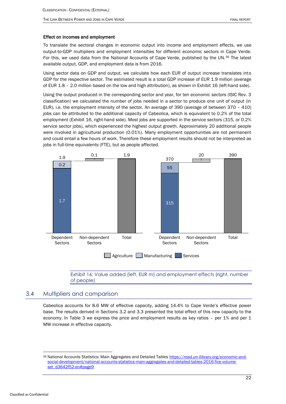#### Effect on incomes and employment

To translate the sectoral changes in economic output into income and employment effects, we use output-to-GDP multipliers and employment intensities for different economic sectors in Cape Verde. For this, we used data from the National Accounts of Cape Verde, published by the UN.<sup>36</sup> The latest available output, GDP, and employment data is from 2016.

Using sector data on GDP and output, we calculate how each EUR of output increase translates into GDP for the respective sector. The estimated result is a total GDP increase of EUR 1.9 million (average of EUR 1.8 – 2.0 million based on the low and high attribution), as shown i[n Exhibit 16](#page-22-1) (left-hand side).

Using the output produced in the corresponding sector and year, for ten economic sectors (ISIC Rev. 3 classification) we calculated the number of jobs needed in a sector to produce one unit of output (in EUR), i.e. the employment intensity of the sector. An average of 390 (average of between 370 – 410) jobs can be attributed to the additional capacity of Cabeolica, which is equivalent to 0.2% of the total employment [\(Exhibit 16,](#page-22-1) right-hand side). Most jobs are supported in the service sectors (315, or 0.2% service sector jobs), which experienced the highest output growth. Approximately 20 additional people were involved in agricultural production (0.01%). Many employment opportunities are not permanent and could entail a few hours of work. Therefore these employment results should not be interpreted as jobs in full-time equivalents (FTE), but as people affected.



<span id="page-22-1"></span>Exhibit 16: Value added (left, EUR m) and employment effects (right, number of people)

### 3.4 Multipliers and comparison

<span id="page-22-0"></span>Cabeolica accounts for 8.6 MW of effective capacity, adding 14.4% to Cape Verde's effective power base. The results derived in Sections [3.2](#page-12-0) and [3.3](#page-17-0) presented the total effect of this new capacity to the economy. In [Table 3](#page-23-0) we express the price and employment results as key ratios – per 1% and per 1 MW increase in effective capacity.

<sup>36</sup> National Accounts Statistics: Main Aggregates and Detailed Table[s https://read.un-ilibrary.org/economic-and](https://read.un-ilibrary.org/economic-and-social-development/national-accounts-statistics-main-aggregates-and-detailed-tables-2016-five-volume-set_d3642f52-en#page9)[social-development/national-accounts-statistics-main-aggregates-and-detailed-tables-2016-five-volume](https://read.un-ilibrary.org/economic-and-social-development/national-accounts-statistics-main-aggregates-and-detailed-tables-2016-five-volume-set_d3642f52-en#page9)[set\\_d3642f52-en#page9](https://read.un-ilibrary.org/economic-and-social-development/national-accounts-statistics-main-aggregates-and-detailed-tables-2016-five-volume-set_d3642f52-en#page9)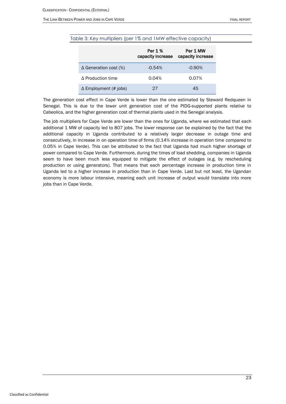#### <span id="page-23-0"></span>THE LINK BETWEEN POWER AND JOBS IN CAPE VERDE FINAL REPORT

### Table 3: Key multipliers (per 1% and 1MW effective capacity)

|                              | Per 1 %<br>capacity increase | Per 1 MW<br>capacity increase |
|------------------------------|------------------------------|-------------------------------|
| $\Delta$ Generation cost (%) | $-0.54%$                     | $-0.90\%$                     |
| $\Delta$ Production time     | 0.04%                        | 0.07%                         |
| $\Delta$ Employment (# jobs) | 27                           | 45                            |

The generation cost effect in Cape Verde is lower than the one estimated by Steward Redqueen in Senegal. This is due to the lower unit generation cost of the PIDG-supported plants relative to Cabeolica, and the higher generation cost of thermal plants used in the Senegal analysis.

The job multipliers for Cape Verde are lower than the ones for Uganda, where we estimated that each additional 1 MW of capacity led to 807 jobs. The lower response can be explained by the fact that the additional capacity in Uganda contributed to a relatively larger decrease in outage time and consecutively, in increase in on operation time of firms (0.14% increase in operation time compared to 0.05% in Cape Verde). This can be attributed to the fact that Uganda had much higher shortage of power compared to Cape Verde. Furthermore, during the times of load shedding, companies in Uganda seem to have been much less equipped to mitigate the effect of outages (e.g. by rescheduling production or using generators). That means that each percentage increase in production time in Uganda led to a higher increase in production than in Cape Verde. Last but not least, the Ugandan economy is more labour intensive, meaning each unit increase of output would translate into more jobs than in Cape Verde.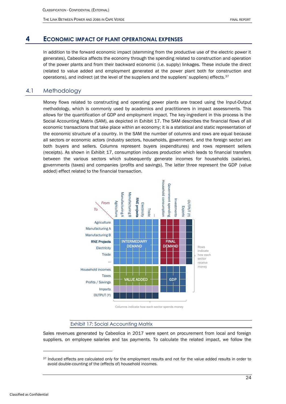THE LINK BETWEEN POWER AND JOBS IN CAPE VERDE FINAL REPORT

### **4 ECONOMIC IMPACT OF PLANT OPERATIONAL EXPENSES**

<span id="page-24-0"></span>In addition to the forward economic impact (stemming from the productive use of the electric power it generates), Cabeolica affects the economy through the spending related to construction and operation of the power plants and from their backward economic (i.e. supply) linkages. These include the direct (related to value added and employment generated at the power plant both for construction and operations), and indirect (at the level of the suppliers and the suppliers' suppliers) effects.<sup>37</sup>

### 4.1 Methodology

<span id="page-24-1"></span>Money flows related to constructing and operating power plants are traced using the Input-Output methodology, which is commonly used by academics and practitioners in impact assessments. This allows for the quantification of GDP and employment impact. The key-ingredient in this process is the Social Accounting Matrix (SAM), as depicted in [Exhibit 17.](#page-24-2) The SAM describes the financial flows of all economic transactions that take place within an economy; it is a statistical and static representation of the economic structure of a country. In the SAM the number of columns and rows are equal because all sectors or economic actors (industry sectors, households, government, and the foreign sector) are both buyers and sellers. Columns represent buyers (expenditures) and rows represent sellers (receipts). As shown in [Exhibit 17,](#page-24-2) consumption induces production which leads to financial transfers between the various sectors which subsequently generate incomes for households (salaries), governments (taxes) and companies (profits and savings). The latter three represent the GDP (value added) effect related to the financial transaction.



Columns indicate how each sector spends money

#### Exhibit 17: Social Accounting Matrix

<span id="page-24-2"></span>Sales revenues generated by Cabeolica in 2017 were spent on procurement from local and foreign suppliers, on employee salaries and tax payments. To calculate the related impact, we follow the

<sup>&</sup>lt;sup>37</sup> Induced effects are calculated only for the employment results and not for the value added results in order to avoid double-counting of the (effects of) household incomes.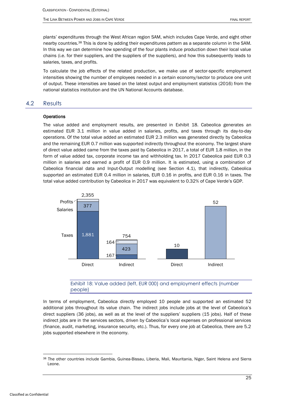plants' expenditures through the West African region SAM, which includes Cape Verde, and eight other nearby countries.<sup>38</sup> This is done by adding their expenditures pattern as a separate column in the SAM. In this way we can determine how spending of the four plants induce production down their local value chains (i.e. for their suppliers, and the suppliers of the suppliers), and how this subsequently leads to salaries, taxes, and profits.

To calculate the job effects of the related production, we make use of sector-specific employment intensities showing the number of employees needed in a certain economy/sector to produce one unit of output. These intensities are based on the latest output and employment statistics (2016) from the national statistics institution and the UN National Accounts database.

### <span id="page-25-0"></span>4.2 Results

#### **Operations**

The value added and employment results, are presented in [Exhibit 18.](#page-25-1) Cabeolica generates an estimated EUR 3.1 million in value added in salaries, profits, and taxes through its day-to-day operations. Of the total value added an estimated EUR 2.3 million was generated directly by Cabeolica and the remaining EUR 0.7 million was supported indirectly throughout the economy. The largest share of direct value added came from the taxes paid by Cabeolica in 2017, a total of EUR 1.8 million, in the form of value added tax, corporate income tax and withholding tax. In 2017 Cabeolica paid EUR 0.3 million in salaries and earned a profit of EUR 0.9 million. It is estimated, using a combination of Cabeolica financial data and Input-Output modelling (see Section 4.1), that indirectly, Cabeolica supported an estimated EUR 0.4 million in salaries, EUR 0.16 in profits, and EUR 0.16 in taxes. The total value added contribution by Cabeolica in 2017 was equivalent to 0.32% of Cape Verde's GDP.



### Exhibit 18: Value added (left, EUR 000) and employment effects (number people)

<span id="page-25-1"></span>In terms of employment, Cabeolica directly employed 10 people and supported an estimated 52 additional jobs throughout its value chain. The indirect jobs include jobs at the level of Cabeolica's direct suppliers (36 jobs), as well as at the level of the suppliers' suppliers (15 jobs). Half of these indirect jobs are in the services sectors, driven by Cabeolica's local expenses on professional services (finance, audit, marketing, insurance security, etc.). Thus, for every one job at Cabeolica, there are 5.2 jobs supported elsewhere in the economy.

<sup>38</sup> The other countries include Gambia, Guinea-Bissau, Liberia, Mali, Mauritania, Niger, Saint Helena and Sierra Leone.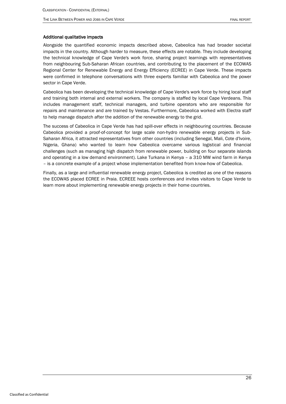#### Additional qualitative impacts

Alongside the quantified economic impacts described above, Cabeolica has had broader societal impacts in the country. Although harder to measure, these effects are notable. They include developing the technical knowledge of Cape Verde's work force, sharing project learnings with representatives from neighbouring Sub-Saharan African countries, and contributing to the placement of the ECOWAS Regional Center for Renewable Energy and Energy Efficiency (ECREE) in Cape Verde. These impacts were confirmed in telephone conversations with three experts familiar with Cabeolica and the power sector in Cape Verde.

Cabeolica has been developing the technical knowledge of Cape Verde's work force by hiring local staff and training both internal and external workers. The company is staffed by local Cape Verdeans. This includes management staff, technical managers, and turbine operators who are responsible for repairs and maintenance and are trained by Vestas. Furthermore, Cabeolica worked with Electra staff to help manage dispatch after the addition of the renewable energy to the grid.

The success of Cabeolica in Cape Verde has had spill-over effects in neighbouring countries. Because Cabeolica provided a proof-of-concept for large scale non-hydro renewable energy projects in Sub-Saharan Africa, it attracted representatives from other countries (including Senegal, Mali, Cote d'Ivoire, Nigeria, Ghana) who wanted to learn how Cabeolica overcame various logistical and financial challenges (such as managing high dispatch from renewable power, building on four separate islands and operating in a low demand environment). Lake Turkana in Kenya – a 310 MW wind farm in Kenya – is a concrete example of a project whose implementation benefited from know-how of Cabeolica.

Finally, as a large and influential renewable energy project, Cabeolica is credited as one of the reasons the ECOWAS placed ECREE in Praia. ECREEE hosts conferences and invites visitors to Cape Verde to learn more about implementing renewable energy projects in their home countries.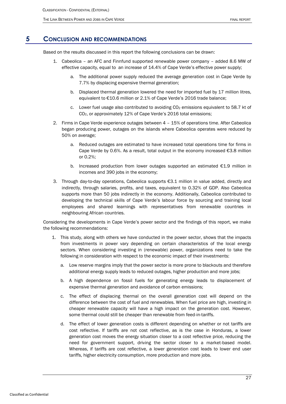### **5 CONCLUSION AND RECOMMENDATIONS**

<span id="page-27-0"></span>Based on the results discussed in this report the following conclusions can be drawn:

- 1. Cabeolica an AFC and Finnfund supported renewable power company added 8.6 MW of effective capacity, equal to an increase of 14.4% of Cape Verde's effective power supply;
	- a. The additional power supply reduced the average generation cost in Cape Verde by 7.7% by displacing expensive thermal generation;
	- b. Displaced thermal generation lowered the need for imported fuel by 17 million litres, equivalent to €10.6 million or 2.1% of Cape Verde's 2016 trade balance;
	- c. Lower fuel usage also contributed to avoiding CO<sub>2</sub> emissions equivalent to 58.7 kt of CO2, or approximately 12% of Cape Verde's 2016 total emissions;
- 2. Firms in Cape Verde experience outages between 4 15% of operations time. After Cabeolica began producing power, outages on the islands where Cabeolica operates were reduced by 50% on average;
	- a. Reduced outages are estimated to have increased total operations time for firms in Cape Verde by 0.6%. As a result, total output in the economy increased  $\epsilon$ 3.8 million or 0.2%;
	- b. Increased production from lower outages supported an estimated  $E1.9$  million in incomes and 390 jobs in the economy;
- 3. Through day-to-day operations, Cabeolica supports €3.1 million in value added, directly and indirectly, through salaries, profits, and taxes, equivalent to 0.32% of GDP. Also Cabeolica supports more than 50 jobs indirectly in the economy. Additionally, Cabeolica contributed to developing the technical skills of Cape Verde's labour force by sourcing and training local employees and shared learnings with representatives from renewable countries in neighbouring African countries.

Considering the developments in Cape Verde's power sector and the findings of this report, we make the following recommendations:

- 1. This study, along with others we have conducted in the power sector, shows that the impacts from investments in power vary depending on certain characteristics of the local energy sectors. When considering investing in (renewable) power, organizations need to take the following in consideration with respect to the economic impact of their investments:
	- a. Low reserve margins imply that the power sector is more prone to blackouts and therefore additional energy supply leads to reduced outages, higher production and more jobs;
	- b. A high dependence on fossil fuels for generating energy leads to displacement of expensive thermal generation and avoidance of carbon emissions;
	- c. The effect of displacing thermal on the overall generation cost will depend on the difference between the cost of fuel and renewables. When fuel price are high, investing in cheaper renewable capacity will have a high impact on the generation cost. However, some thermal could still be cheaper than renewable from feed-in-tariffs.
	- d. The effect of lower generation costs is different depending on whether or not tariffs are cost reflective. If tariffs are not cost reflective, as is the case in Honduras, a lower generation cost moves the energy situation closer to a cost reflective price, reducing the need for government support, driving the sector closer to a market-based model. Whereas, if tariffs are cost reflective, a lower generation cost leads to lower end user tariffs, higher electricity consumption, more production and more jobs.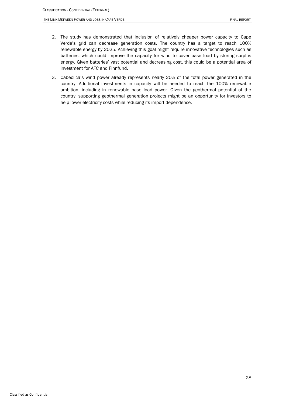- 2. The study has demonstrated that inclusion of relatively cheaper power capacity to Cape Verde's grid can decrease generation costs. The country has a target to reach 100% renewable energy by 2025. Achieving this goal might require innovative technologies such as batteries, which could improve the capacity for wind to cover base load by storing surplus energy. Given batteries' vast potential and decreasing cost, this could be a potential area of investment for AFC and Finnfund.
- 3. Cabeolica's wind power already represents nearly 20% of the total power generated in the country. Additional investments in capacity will be needed to reach the 100% renewable ambition, including in renewable base load power. Given the geothermal potential of the country, supporting geothermal generation projects might be an opportunity for investors to help lower electricity costs while reducing its import dependence.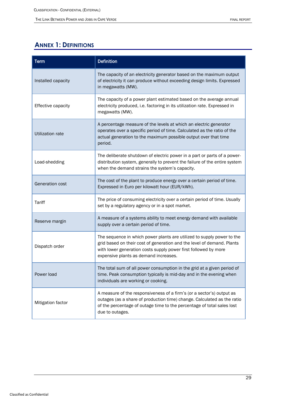## <span id="page-29-0"></span>**ANNEX 1: DEFINITIONS**

| <b>Term</b>        | <b>Definition</b>                                                                                                                                                                                                                                            |  |  |
|--------------------|--------------------------------------------------------------------------------------------------------------------------------------------------------------------------------------------------------------------------------------------------------------|--|--|
| Installed capacity | The capacity of an electricity generator based on the maximum output<br>of electricity it can produce without exceeding design limits. Expressed<br>in megawatts (MW).                                                                                       |  |  |
| Effective capacity | The capacity of a power plant estimated based on the average annual<br>electricity produced, i.e. factoring in its utilization rate. Expressed in<br>megawatts (MW).                                                                                         |  |  |
| Utilization rate   | A percentage measure of the levels at which an electric generator<br>operates over a specific period of time. Calculated as the ratio of the<br>actual generation to the maximum possible output over that time<br>period.                                   |  |  |
| Load-shedding      | The deliberate shutdown of electric power in a part or parts of a power-<br>distribution system, generally to prevent the failure of the entire system<br>when the demand strains the system's capacity.                                                     |  |  |
| Generation cost    | The cost of the plant to produce energy over a certain period of time.<br>Expressed in Euro per kilowatt hour (EUR/kWh).                                                                                                                                     |  |  |
| Tariff             | The price of consuming electricity over a certain period of time. Usually<br>set by a regulatory agency or in a spot market.                                                                                                                                 |  |  |
| Reserve margin     | A measure of a systems ability to meet energy demand with available<br>supply over a certain period of time.                                                                                                                                                 |  |  |
| Dispatch order     | The sequence in which power plants are utilized to supply power to the<br>grid based on their cost of generation and the level of demand. Plants<br>with lower generation costs supply power first followed by more<br>expensive plants as demand increases. |  |  |
| Power load         | The total sum of all power consumption in the grid at a given period of<br>time. Peak consumption typically is mid-day and in the evening when<br>individuals are working or cooking.                                                                        |  |  |
| Mitigation factor  | A measure of the responsiveness of a firm's (or a sector's) output as<br>outages (as a share of production time) change. Calculated as the ratio<br>of the percentage of outage time to the percentage of total sales lost<br>due to outages.                |  |  |